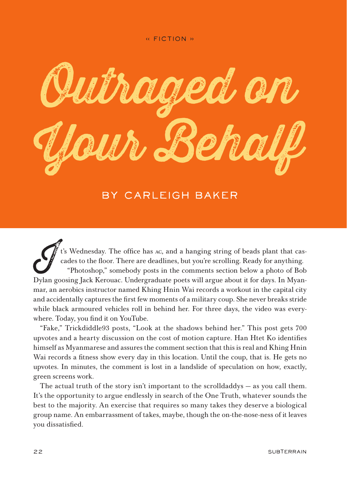

## by Carleigh Baker

t's Wednesday. The office has AC, and a hanging string of beads plant that cascades to the floor. There are deadlines, but you're scrolling. Ready for anything. "Photoshop," somebody posts in the comments section below a photo of Bob Dylan goosing Jack Kerouac. Undergraduate poets will argue about it for days. In Myanmar, an aerobics instructor named Khing Hnin Wai records a workout in the capital city and accidentally captures the first few moments of a military coup. She never breaks stride while black armoured vehicles roll in behind her. For three days, the video was everywhere. Today, you find it on YouTube.

"Fake," Trickdiddle93 posts, "Look at the shadows behind her." This post gets 700 upvotes and a hearty discussion on the cost of motion capture. Han Htet Ko identifies himself as Myanmarese and assures the comment section that this is real and Khing Hnin Wai records a fitness show every day in this location. Until the coup, that is. He gets no upvotes. In minutes, the comment is lost in a landslide of speculation on how, exactly, green screens work.

The actual truth of the story isn't important to the scrolldaddys — as you call them. It's the opportunity to argue endlessly in search of the One Truth, whatever sounds the best to the majority. An exercise that requires so many takes they deserve a biological group name. An embarrassment of takes, maybe, though the on-the-nose-ness of it leaves you dissatisfied.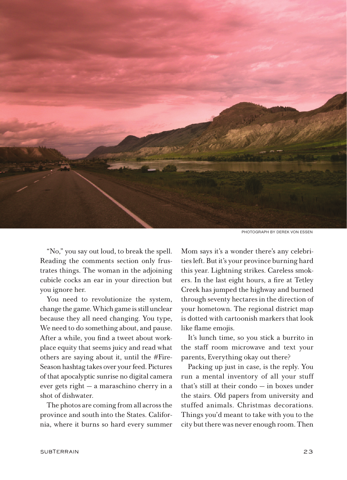

photograph by derek von essen

"No," you say out loud, to break the spell. Reading the comments section only frustrates things. The woman in the adjoining cubicle cocks an ear in your direction but you ignore her.

You need to revolutionize the system, change the game. Which game is still unclear because they all need changing. You type, We need to do something about, and pause. After a while, you find a tweet about workplace equity that seems juicy and read what others are saying about it, until the #Fire-Season hashtag takes over your feed. Pictures of that apocalyptic sunrise no digital camera ever gets right — a maraschino cherry in a shot of dishwater.

The photos are coming from all across the province and south into the States. California, where it burns so hard every summer

Mom says it's a wonder there's any celebrities left. But it's your province burning hard this year. Lightning strikes. Careless smokers. In the last eight hours, a fire at Tetley Creek has jumped the highway and burned through seventy hectares in the direction of your hometown. The regional district map is dotted with cartoonish markers that look like flame emojis.

It's lunch time, so you stick a burrito in the staff room microwave and text your parents, Everything okay out there?

Packing up just in case, is the reply. You run a mental inventory of all your stuff that's still at their condo — in boxes under the stairs. Old papers from university and stuffed animals. Christmas decorations. Things you'd meant to take with you to the city but there was never enough room. Then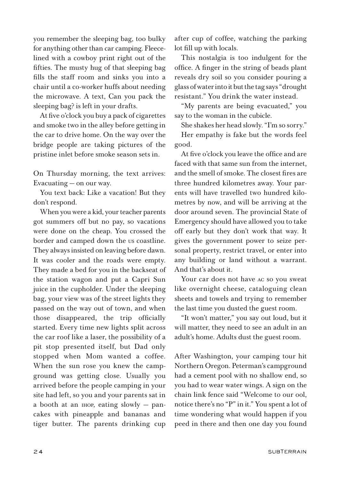you remember the sleeping bag, too bulky for anything other than car camping. Fleecelined with a cowboy print right out of the fifties. The musty hug of that sleeping bag fills the staff room and sinks you into a chair until a co-worker huffs about needing the microwave. A text, Can you pack the sleeping bag? is left in your drafts.

At five o'clock you buy a pack of cigarettes and smoke two in the alley before getting in the car to drive home. On the way over the bridge people are taking pictures of the pristine inlet before smoke season sets in.

On Thursday morning, the text arrives: Evacuating — on our way.

You text back: Like a vacation! But they don't respond.

When you were a kid, your teacher parents got summers off but no pay, so vacations were done on the cheap. You crossed the border and camped down the us coastline. They always insisted on leaving before dawn. It was cooler and the roads were empty. They made a bed for you in the backseat of the station wagon and put a Capri Sun juice in the cupholder. Under the sleeping bag, your view was of the street lights they passed on the way out of town, and when those disappeared, the trip officially started. Every time new lights split across the car roof like a laser, the possibility of a pit stop presented itself, but Dad only stopped when Mom wanted a coffee. When the sun rose you knew the campground was getting close. Usually you arrived before the people camping in your site had left, so you and your parents sat in a booth at an ihop, eating slowly — pancakes with pineapple and bananas and tiger butter. The parents drinking cup

after cup of coffee, watching the parking lot fill up with locals.

This nostalgia is too indulgent for the office. A finger in the string of beads plant reveals dry soil so you consider pouring a glass of water into it but the tag says "drought resistant." You drink the water instead.

"My parents are being evacuated," you say to the woman in the cubicle.

She shakes her head slowly. "I'm so sorry."

Her empathy is fake but the words feel good.

At five o'clock you leave the office and are faced with that same sun from the internet, and the smell of smoke. The closest fires are three hundred kilometres away. Your parents will have travelled two hundred kilometres by now, and will be arriving at the door around seven. The provincial State of Emergency should have allowed you to take off early but they don't work that way. It gives the government power to seize personal property, restrict travel, or enter into any building or land without a warrant. And that's about it.

Your car does not have ac so you sweat like overnight cheese, cataloguing clean sheets and towels and trying to remember the last time you dusted the guest room.

"It won't matter," you say out loud, but it will matter, they need to see an adult in an adult's home. Adults dust the guest room.

After Washington, your camping tour hit Northern Oregon. Peterman's campground had a cement pool with no shallow end, so you had to wear water wings. A sign on the chain link fence said "Welcome to our ool, notice there's no "P" in it." You spent a lot of time wondering what would happen if you peed in there and then one day you found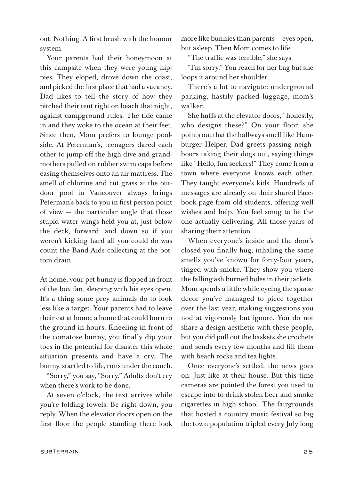out. Nothing. A first brush with the honour system.

Your parents had their honeymoon at this campsite when they were young hippies. They eloped, drove down the coast, and picked the first place that had a vacancy. Dad likes to tell the story of how they pitched their tent right on beach that night, against campground rules. The tide came in and they woke to the ocean at their feet. Since then, Mom prefers to lounge poolside. At Peterman's, teenagers dared each other to jump off the high dive and grandmothers pulled on rubber swim caps before easing themselves onto an air mattress. The smell of chlorine and cut grass at the outdoor pool in Vancouver always brings Peterman's back to you in first person point of view — the particular angle that those stupid water wings held you at, just below the deck, forward, and down so if you weren't kicking hard all you could do was count the Band-Aids collecting at the bottom drain.

At home, your pet bunny is flopped in front of the box fan, sleeping with his eyes open. It's a thing some prey animals do to look less like a target. Your parents had to leave their cat at home, a home that could burn to the ground in hours. Kneeling in front of the comatose bunny, you finally dip your toes in the potential for disaster this whole situation presents and have a cry. The bunny, startled to life, runs under the couch.

"Sorry," you say, "Sorry." Adults don't cry when there's work to be done.

At seven o'clock, the text arrives while you're folding towels. Be right down, you reply. When the elevator doors open on the first floor the people standing there look more like bunnies than parents — eyes open, but asleep. Then Mom comes to life.

"The traffic was terrible," she says.

"I'm sorry." You reach for her bag but she loops it around her shoulder.

There's a lot to navigate: underground parking, hastily packed luggage, mom's walker.

She huffs at the elevator doors, "honestly, who designs these?" On your floor, she points out that the hallways smell like Hamburger Helper. Dad greets passing neighbours taking their dogs out, saying things like "Hello, fun seekers!" They come from a town where everyone knows each other. They taught everyone's kids. Hundreds of messages are already on their shared Facebook page from old students, offering well wishes and help. You feel smug to be the one actually delivering. All those years of sharing their attention.

When everyone's inside and the door's closed you finally hug, inhaling the same smells you've known for forty-four years, tinged with smoke. They show you where the falling ash burned holes in their jackets. Mom spends a little while eyeing the sparse decor you've managed to piece together over the last year, making suggestions you nod at vigorously but ignore. You do not share a design aesthetic with these people, but you did pull out the baskets she crochets and sends every few months and fill them with beach rocks and tea lights.

Once everyone's settled, the news goes on. Just like at their house. But this time cameras are pointed the forest you used to escape into to drink stolen beer and smoke cigarettes in high school. The fairgrounds that hosted a country music festival so big the town population tripled every July long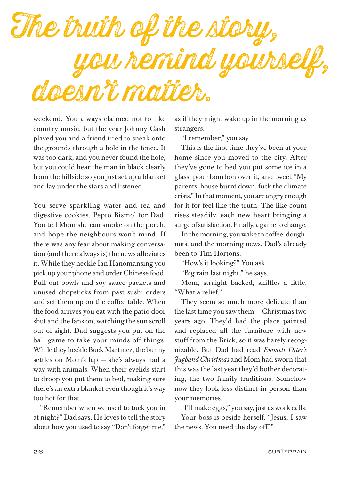

weekend. You always claimed not to like country music, but the year Johnny Cash played you and a friend tried to sneak onto the grounds through a hole in the fence. It was too dark, and you never found the hole, but you could hear the man in black clearly from the hillside so you just set up a blanket and lay under the stars and listened.

You serve sparkling water and tea and digestive cookies. Pepto Bismol for Dad. You tell Mom she can smoke on the porch, and hope the neighbours won't mind. If there was any fear about making conversation (and there always is) the news alleviates it. While they heckle Ian Hanomansing you pick up your phone and order Chinese food. Pull out bowls and soy sauce packets and unused chopsticks from past sushi orders and set them up on the coffee table. When the food arrives you eat with the patio door shut and the fans on, watching the sun scroll out of sight. Dad suggests you put on the ball game to take your minds off things. While they heckle Buck Martinez, the bunny settles on Mom's lap — she's always had a way with animals. When their eyelids start to droop you put them to bed, making sure there's an extra blanket even though it's way too hot for that.

"Remember when we used to tuck you in at night?" Dad says. He loves to tell the story about how you used to say "Don't forget me,"

as if they might wake up in the morning as strangers.

"I remember," you say.

This is the first time they've been at your home since you moved to the city. After they've gone to bed you put some ice in a glass, pour bourbon over it, and tweet "My parents' house burnt down, fuck the climate crisis." In that moment, you are angry enough for it for feel like the truth. The like count rises steadily, each new heart bringing a surge of satisfaction. Finally, a game to change.

In the morning, you wake to coffee, doughnuts, and the morning news. Dad's already been to Tim Hortons.

"How's it looking?" You ask.

"Big rain last night," he says.

Mom, straight backed, sniffles a little. "What a relief."

They seem so much more delicate than the last time you saw them — Christmas two years ago. They'd had the place painted and replaced all the furniture with new stuff from the Brick, so it was barely recognizable. But Dad had read *Emmett Otter's Jugband Christmas* and Mom had sworn that this was the last year they'd bother decorating, the two family traditions. Somehow now they look less distinct in person than your memories.

"I'll make eggs," you say, just as work calls. Your boss is beside herself. "Jesus, I saw the news. You need the day off?"